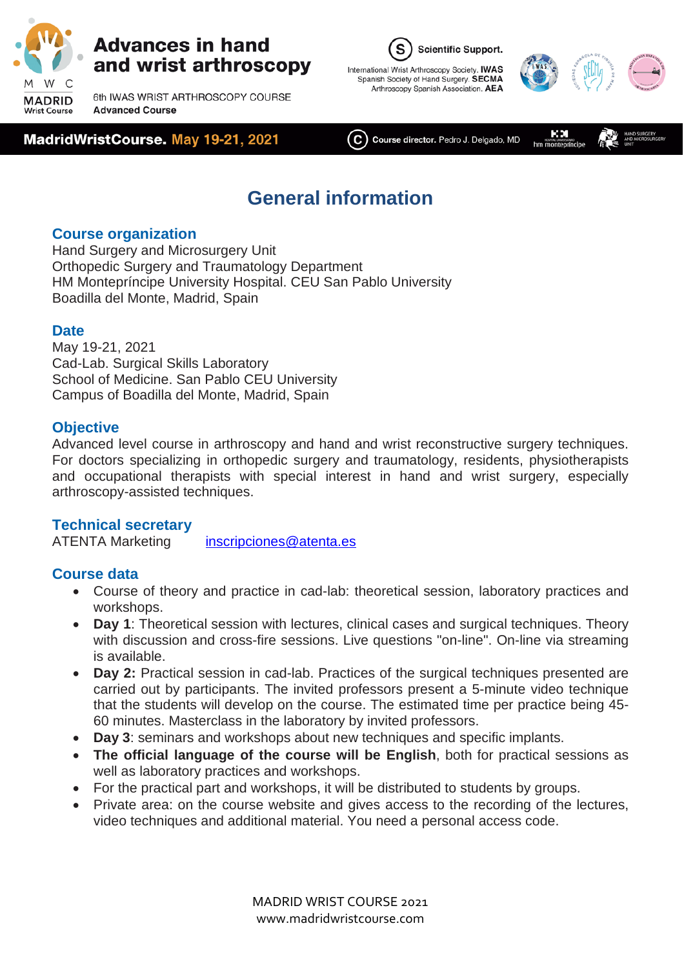

6th IWAS WRIST ARTHROSCOPY COURSE **Advanced Course** 







KМ

 $(\mathsf{C})$  Course director. Pedro J. Delgado, MD  $hm\stackrel{\text{non}}{m}$ 

# **General information**

#### **Course organization**

Hand Surgery and Microsurgery Unit Orthopedic Surgery and Traumatology Department HM Montepríncipe University Hospital. CEU San Pablo University Boadilla del Monte, Madrid, Spain

#### **Date**

May 19-21, 2021 Cad-Lab. Surgical Skills Laboratory School of Medicine. San Pablo CEU University Campus of Boadilla del Monte, Madrid, Spain

#### **Objective**

Advanced level course in arthroscopy and hand and wrist reconstructive surgery techniques. For doctors specializing in orthopedic surgery and traumatology, residents, physiotherapists and occupational therapists with special interest in hand and wrist surgery, especially arthroscopy-assisted techniques.

#### **Technical secretary**

ATENTA Marketing [inscripciones@atenta.es](mailto:inscripciones@atenta.es)

#### **Course data**

- Course of theory and practice in cad-lab: theoretical session, laboratory practices and workshops.
- **Day 1**: Theoretical session with lectures, clinical cases and surgical techniques. Theory with discussion and cross-fire sessions. Live questions "on-line". On-line via streaming is available.
- **Day 2:** Practical session in cad-lab. Practices of the surgical techniques presented are carried out by participants. The invited professors present a 5-minute video technique that the students will develop on the course. The estimated time per practice being 45- 60 minutes. Masterclass in the laboratory by invited professors.
- **Day 3**: seminars and workshops about new techniques and specific implants.
- **The official language of the course will be English**, both for practical sessions as well as laboratory practices and workshops.
- For the practical part and workshops, it will be distributed to students by groups.
- Private area: on the course website and gives access to the recording of the lectures, video techniques and additional material. You need a personal access code.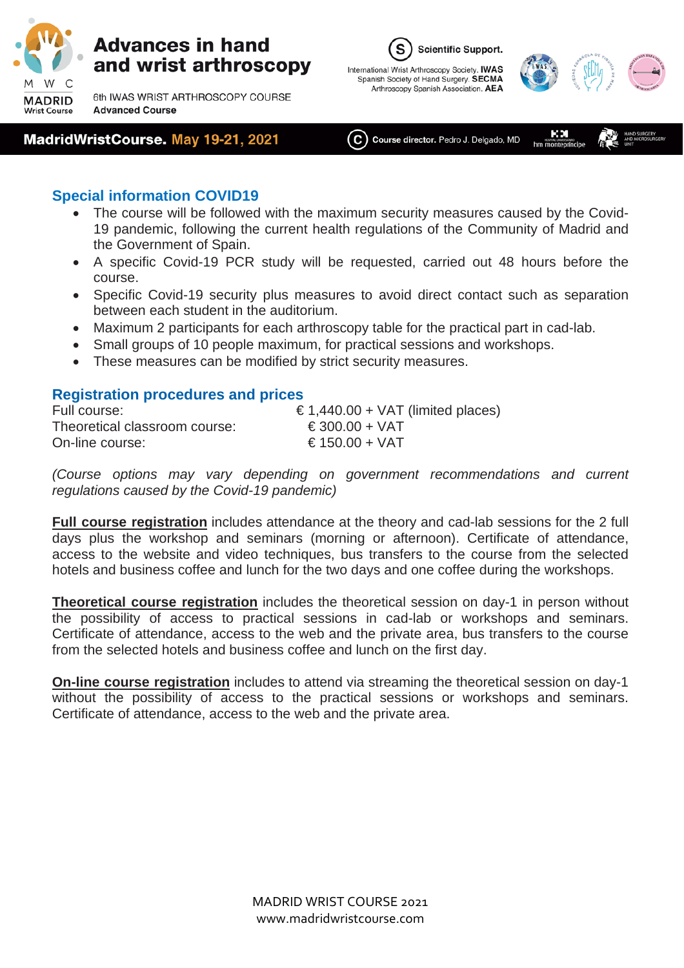

6th IWAS WRIST ARTHROSCOPY COURSE **Advanced Course** 

#### MadridWristCourse. May 19-21, 2021





KМ  $(\mathbf{C})$  Course director. Pedro J. Delgado, MD hm mo

#### **Special information COVID19**

- The course will be followed with the maximum security measures caused by the Covid-19 pandemic, following the current health regulations of the Community of Madrid and the Government of Spain.
- A specific Covid-19 PCR study will be requested, carried out 48 hours before the course.
- Specific Covid-19 security plus measures to avoid direct contact such as separation between each student in the auditorium.
- Maximum 2 participants for each arthroscopy table for the practical part in cad-lab.
- Small groups of 10 people maximum, for practical sessions and workshops.
- These measures can be modified by strict security measures.

#### **Registration procedures and prices**

| Full course:                  | € 1,440.00 + VAT (limited places) |
|-------------------------------|-----------------------------------|
| Theoretical classroom course: | € 300.00 + VAT                    |
| On-line course:               | € 150.00 + VAT                    |

*(Course options may vary depending on government recommendations and current regulations caused by the Covid-19 pandemic)*

**Full course registration** includes attendance at the theory and cad-lab sessions for the 2 full days plus the workshop and seminars (morning or afternoon). Certificate of attendance, access to the website and video techniques, bus transfers to the course from the selected hotels and business coffee and lunch for the two days and one coffee during the workshops.

**Theoretical course registration** includes the theoretical session on day-1 in person without the possibility of access to practical sessions in cad-lab or workshops and seminars. Certificate of attendance, access to the web and the private area, bus transfers to the course from the selected hotels and business coffee and lunch on the first day.

**On-line course registration** includes to attend via streaming the theoretical session on day-1 without the possibility of access to the practical sessions or workshops and seminars. Certificate of attendance, access to the web and the private area.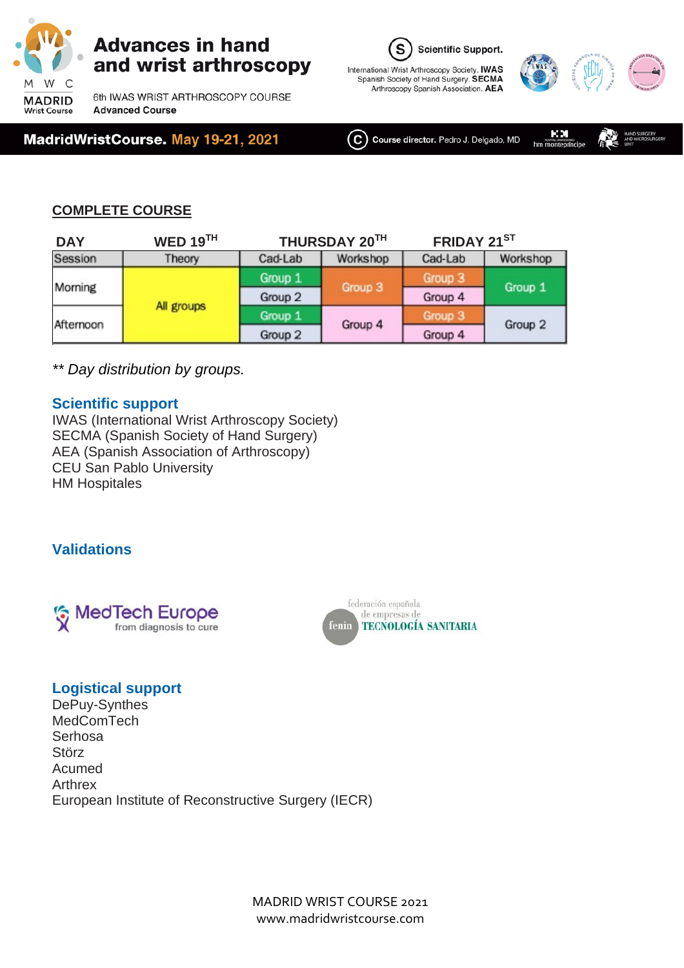

6th IWAS WRIST ARTHROSCOPY COURSE **Advanced Course** 







ΚМ  $(\mathsf{C})$  Course director. Pedro J. Delgado, MD hm mon

#### **COMPLETE COURSE**

| <b>DAY</b> | WED $19TH$ |         | FRIDAY 21ST<br>THURSDAY 20TH |         |          |
|------------|------------|---------|------------------------------|---------|----------|
| Session    | Theory     | Cad-Lab | Workshop                     | Cad-Lab | Workshop |
| Morning    | All groups | Group 1 | Group 3                      | Group 3 | Group 1  |
|            |            | Group 2 |                              | Group 4 |          |
| Afternoon  |            | Group 1 | Group 4                      | Group 3 | Group 2  |
|            |            | Group 2 |                              | Group 4 |          |

*\*\* Day distribution by groups.*

#### **Scientific support**

IWAS (International Wrist Arthroscopy Society) SECMA (Spanish Society of Hand Surgery) AEA (Spanish Association of Arthroscopy) CEU San Pablo University HM Hospitales

#### **Validations**





#### **Logistical support**

DePuy-Synthes **MedComTech Serhosa Störz** Acumed Arthrex European Institute of Reconstructive Surgery (IECR)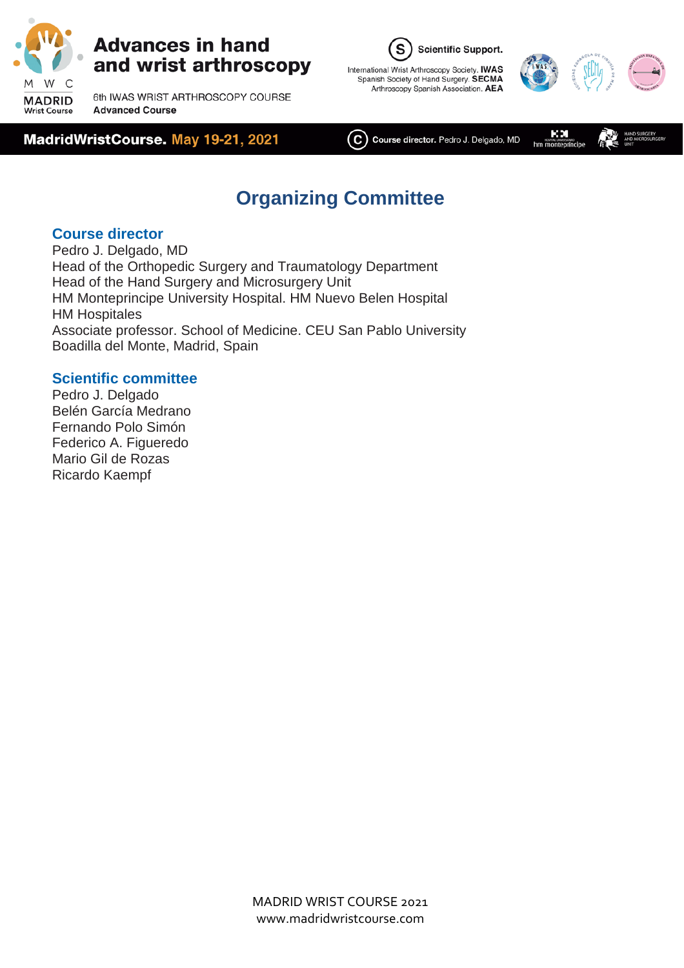

6th IWAS WRIST ARTHROSCOPY COURSE **Advanced Course** 







ΚМ  $(\mathsf{C})$  Course director. Pedro J. Delgado, MD hm mon

## **Organizing Committee**

#### **Course director**

Pedro J. Delgado, MD Head of the Orthopedic Surgery and Traumatology Department Head of the Hand Surgery and Microsurgery Unit HM Monteprincipe University Hospital. HM Nuevo Belen Hospital HM Hospitales Associate professor. School of Medicine. CEU San Pablo University Boadilla del Monte, Madrid, Spain

#### **Scientific committee**

Pedro J. Delgado Belén García Medrano Fernando Polo Simón Federico A. Figueredo Mario Gil de Rozas Ricardo Kaempf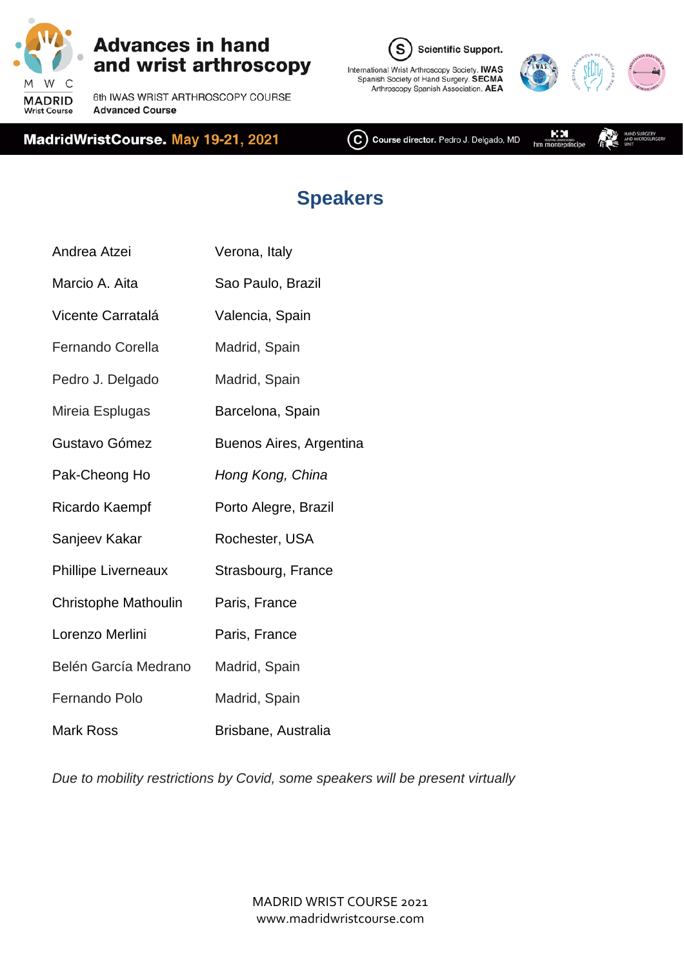

6th IWAS WRIST ARTHROSCOPY COURSE **Advanced Course** 







 $(C)$  Course director. Pedro J. Delgado, MD

КM hm mont aw∞<br>infnrine

# **Speakers**

| Verona, Italy           |
|-------------------------|
| Sao Paulo, Brazil       |
| Valencia, Spain         |
| Madrid, Spain           |
| Madrid, Spain           |
| Barcelona, Spain        |
| Buenos Aires, Argentina |
| Hong Kong, China        |
| Porto Alegre, Brazil    |
| Rochester, USA          |
| Strasbourg, France      |
| Paris, France           |
| Paris, France           |
| Madrid, Spain           |
| Madrid, Spain           |
| Brisbane, Australia     |
|                         |

*Due to mobility restrictions by Covid, some speakers will be present virtually*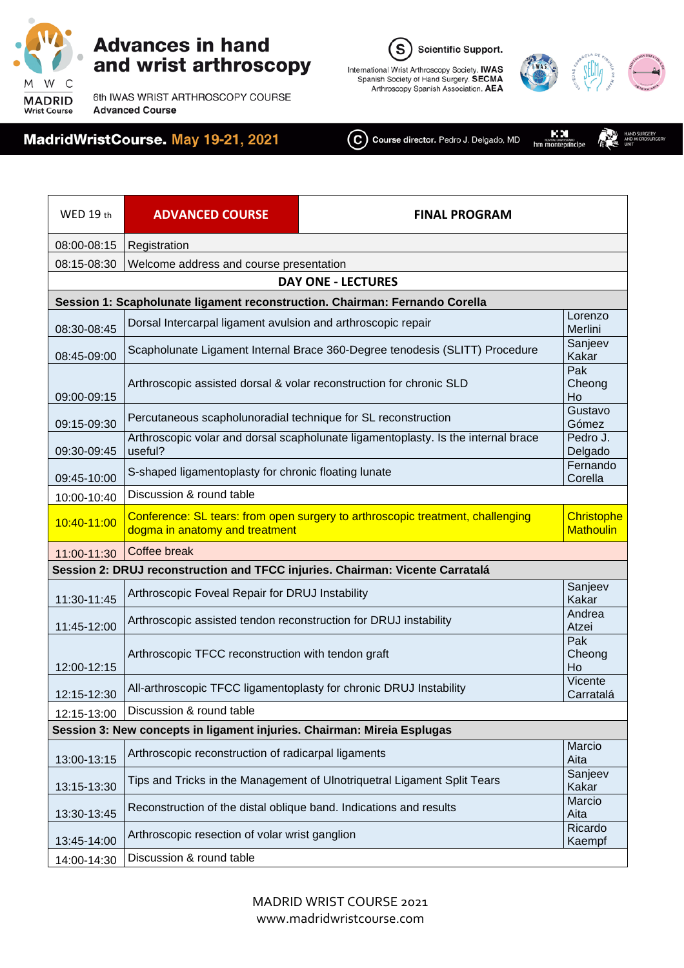

6th IWAS WRIST ARTHROSCOPY COURSE **Advanced Course** 







KМ

 $(\mathbf{C})$  Course director. Pedro J. Delgado, MD  $hm$  $m<sup>const</sup>$ 

WED 19 th **ADVANCED COURSE FINAL PROGRAM** 08:00-08:15 | Registration 08:15-08:30 Welcome address and course presentation **DAY ONE - LECTURES Session 1: Scapholunate ligament reconstruction. Chairman: Fernando Corella** 08:30-08:45 Dorsal Intercarpal ligament avulsion and arthroscopic repair **Lorenzo** Lorenzo Merlini 08:45-09:00 Scapholunate Ligament Internal Brace 360-Degree tenodesis (SLITT) Procedure Sanjeev Kakar 09:00-09:15 Arthroscopic assisted dorsal & volar reconstruction for chronic SLD Pak Cheong Ho<br>Gustavo 09:15-09:30 Percutaneous scapholunoradial technique for SL reconstruction Gómez 09:30-09:45 Arthroscopic volar and dorsal scapholunate ligamentoplasty. Is the internal brace useful? Pedro J. Delgado 09:45-10:00 S-shaped ligamentoplasty for chronic floating lunate Fernando Corella Corella 10:00-10:40 | Discussion & round table 10:40-11:00 Conference: SL tears: from open surgery to arthroscopic treatment, challenging dogma in anatomy and treatment **Christophe Mathoulin** 11:00-11:30 Coffee break **Session 2: DRUJ reconstruction and TFCC injuries. Chairman: Vicente Carratalá** 11:30-11:45 Arthroscopic Foveal Repair for DRUJ Instability Sanjeev Sanjeev Sanjeev Kakar 11:45-12:00 Arthroscopic assisted tendon reconstruction for DRUJ instability Andrea Atzei 12:00-12:15 Arthroscopic TFCC reconstruction with tendon graft Pak Cheong Ho 12:15-12:30 All-arthroscopic TFCC ligamentoplasty for chronic DRUJ Instability Vicente Carratalá 12:15-13:00 | Discussion & round table **Session 3: New concepts in ligament injuries. Chairman: Mireia Esplugas** 13:00-13:15 Arthroscopic reconstruction of radicarpal ligaments Marcio Aita 13:15-13:30 Tips and Tricks in the Management of Ulnotriquetral Ligament Split Tears Sanjeev Kakar 13:30-13:45 Reconstruction of the distal oblique band. Indications and results Marcio Aita 13:45-14:00 Arthroscopic resection of volar wrist ganglion Ricardo Ricardo Ricardo Kaempf 14:00-14:30 Discussion & round table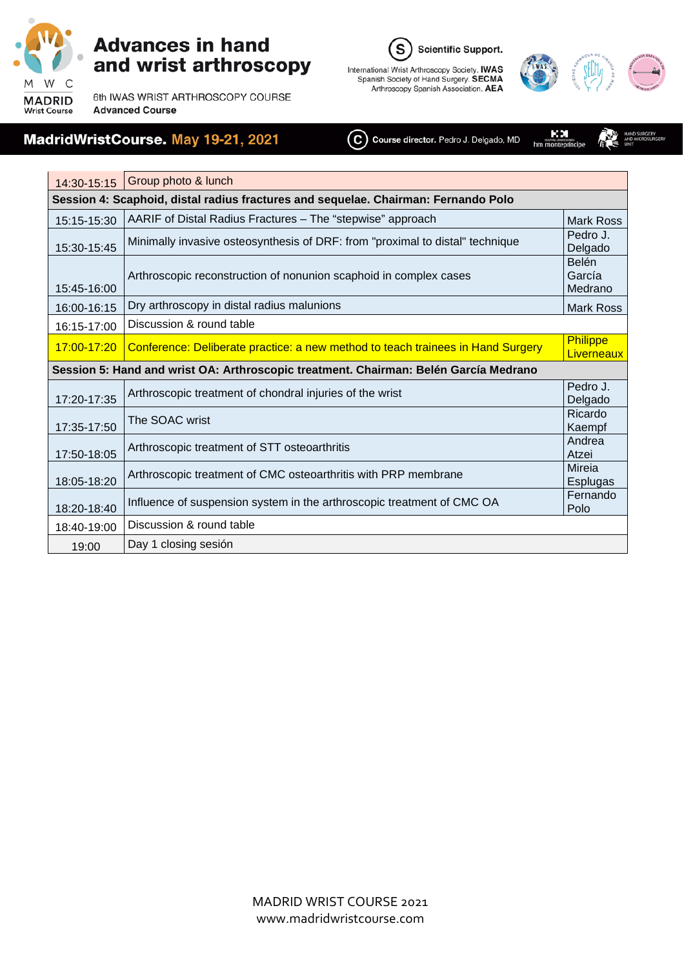

 $\mathbf{r}$ 

### **Advances in hand** and wrist arthroscopy

6th IWAS WRIST ARTHROSCOPY COURSE **Advanced Course** 

### MadridWristCourse. May 19-21, 2021

S **Scientific Support.** International Wrist Arthroscopy Society. IWAS<br>Spanish Society of Hand Surgery. SECMA<br>Arthroscopy Spanish Association. AEA



ĸм

<br>if∩cipe

C Course director. Pedro J. Delgado, MD hm mont

| 14:30-15:15                                                                        | Group photo & lunch                                                                  |                                   |  |  |  |
|------------------------------------------------------------------------------------|--------------------------------------------------------------------------------------|-----------------------------------|--|--|--|
| Session 4: Scaphoid, distal radius fractures and sequelae. Chairman: Fernando Polo |                                                                                      |                                   |  |  |  |
| 15:15-15:30                                                                        | AARIF of Distal Radius Fractures - The "stepwise" approach                           | <b>Mark Ross</b>                  |  |  |  |
| 15:30-15:45                                                                        | Minimally invasive osteosynthesis of DRF: from "proximal to distal" technique        | Pedro J.<br>Delgado               |  |  |  |
| 15:45-16:00                                                                        | Arthroscopic reconstruction of nonunion scaphoid in complex cases                    | <b>Belén</b><br>García<br>Medrano |  |  |  |
| 16:00-16:15                                                                        | Dry arthroscopy in distal radius malunions                                           | <b>Mark Ross</b>                  |  |  |  |
| 16:15-17:00                                                                        | Discussion & round table                                                             |                                   |  |  |  |
| 17:00-17:20                                                                        | Conference: Deliberate practice: a new method to teach trainees in Hand Surgery      | <b>Philippe</b><br>Liverneaux     |  |  |  |
|                                                                                    | Session 5: Hand and wrist OA: Arthroscopic treatment. Chairman: Belén García Medrano |                                   |  |  |  |
| 17:20-17:35                                                                        | Arthroscopic treatment of chondral injuries of the wrist                             | Pedro J.<br>Delgado               |  |  |  |
| 17:35-17:50                                                                        | The SOAC wrist                                                                       | Ricardo<br>Kaempf                 |  |  |  |
| 17:50-18:05                                                                        | Arthroscopic treatment of STT osteoarthritis                                         | Andrea<br>Atzei                   |  |  |  |
| 18:05-18:20                                                                        | Arthroscopic treatment of CMC osteoarthritis with PRP membrane                       | Mireia<br>Esplugas                |  |  |  |
| 18:20-18:40                                                                        | Influence of suspension system in the arthroscopic treatment of CMC OA               | Fernando<br>Polo                  |  |  |  |
| 18:40-19:00                                                                        | Discussion & round table                                                             |                                   |  |  |  |
| 19:00                                                                              | Day 1 closing sesión                                                                 |                                   |  |  |  |